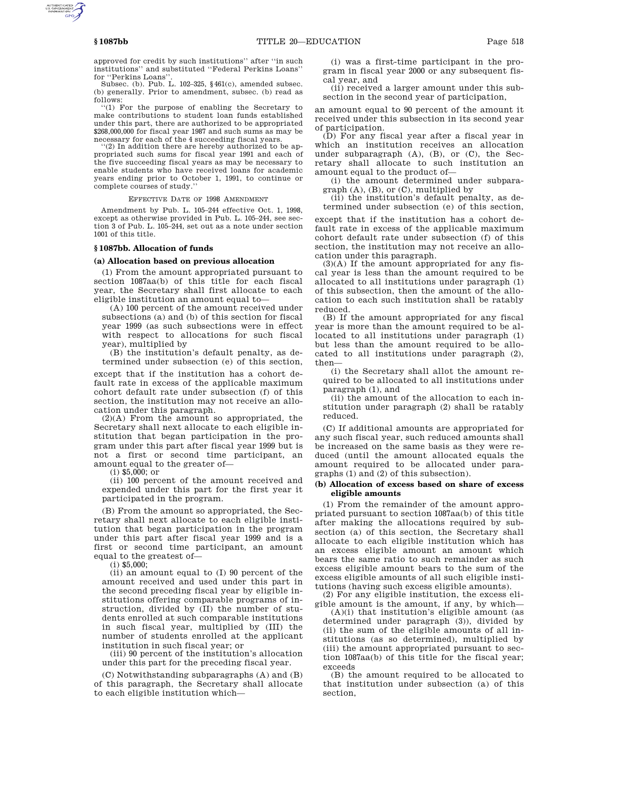approved for credit by such institutions'' after ''in such institutions'' and substituted ''Federal Perkins Loans'' for ''Perkins Loans''.

Subsec. (b). Pub. L. 102–325, §461(c), amended subsec. (b) generally. Prior to amendment, subsec. (b) read as follows:

''(1) For the purpose of enabling the Secretary to make contributions to student loan funds established under this part, there are authorized to be appropriated \$268,000,000 for fiscal year 1987 and such sums as may be necessary for each of the 4 succeeding fiscal years.

''(2) In addition there are hereby authorized to be appropriated such sums for fiscal year 1991 and each of the five succeeding fiscal years as may be necessary to enable students who have received loans for academic years ending prior to October 1, 1991, to continue or complete courses of study.''

### EFFECTIVE DATE OF 1998 AMENDMENT

Amendment by Pub. L. 105–244 effective Oct. 1, 1998, except as otherwise provided in Pub. L. 105–244, see section 3 of Pub. L. 105–244, set out as a note under section 1001 of this title.

### **§ 1087bb. Allocation of funds**

## **(a) Allocation based on previous allocation**

(1) From the amount appropriated pursuant to section 1087aa(b) of this title for each fiscal year, the Secretary shall first allocate to each eligible institution an amount equal to—

(A) 100 percent of the amount received under subsections (a) and (b) of this section for fiscal year 1999 (as such subsections were in effect with respect to allocations for such fiscal year), multiplied by

(B) the institution's default penalty, as determined under subsection (e) of this section,

except that if the institution has a cohort default rate in excess of the applicable maximum cohort default rate under subsection (f) of this section, the institution may not receive an allocation under this paragraph.

(2)(A) From the amount so appropriated, the Secretary shall next allocate to each eligible institution that began participation in the program under this part after fiscal year 1999 but is not a first or second time participant, an amount equal to the greater of—

(i) \$5,000; or

(ii) 100 percent of the amount received and expended under this part for the first year it participated in the program.

(B) From the amount so appropriated, the Secretary shall next allocate to each eligible institution that began participation in the program under this part after fiscal year 1999 and is a first or second time participant, an amount equal to the greatest of—

(i) \$5,000;

(ii) an amount equal to (I) 90 percent of the amount received and used under this part in the second preceding fiscal year by eligible institutions offering comparable programs of instruction, divided by (II) the number of students enrolled at such comparable institutions in such fiscal year, multiplied by (III) the number of students enrolled at the applicant institution in such fiscal year; or

(iii) 90 percent of the institution's allocation under this part for the preceding fiscal year.

(C) Notwithstanding subparagraphs (A) and (B) of this paragraph, the Secretary shall allocate to each eligible institution which—

(i) was a first-time participant in the program in fiscal year 2000 or any subsequent fiscal year, and

(ii) received a larger amount under this subsection in the second year of participation,

an amount equal to 90 percent of the amount it received under this subsection in its second year of participation.

(D) For any fiscal year after a fiscal year in which an institution receives an allocation under subparagraph (A), (B), or (C), the Secretary shall allocate to such institution an amount equal to the product of—

(i) the amount determined under subparagraph (A), (B), or (C), multiplied by

(ii) the institution's default penalty, as determined under subsection (e) of this section,

except that if the institution has a cohort default rate in excess of the applicable maximum cohort default rate under subsection (f) of this section, the institution may not receive an allocation under this paragraph.

(3)(A) If the amount appropriated for any fiscal year is less than the amount required to be allocated to all institutions under paragraph (1) of this subsection, then the amount of the allocation to each such institution shall be ratably reduced.

(B) If the amount appropriated for any fiscal year is more than the amount required to be allocated to all institutions under paragraph (1) but less than the amount required to be allocated to all institutions under paragraph (2), then—

(i) the Secretary shall allot the amount required to be allocated to all institutions under paragraph (1), and

(ii) the amount of the allocation to each institution under paragraph (2) shall be ratably reduced.

(C) If additional amounts are appropriated for any such fiscal year, such reduced amounts shall be increased on the same basis as they were reduced (until the amount allocated equals the amount required to be allocated under paragraphs (1) and (2) of this subsection).

### **(b) Allocation of excess based on share of excess eligible amounts**

(1) From the remainder of the amount appropriated pursuant to section 1087aa(b) of this title after making the allocations required by subsection (a) of this section, the Secretary shall allocate to each eligible institution which has an excess eligible amount an amount which bears the same ratio to such remainder as such excess eligible amount bears to the sum of the excess eligible amounts of all such eligible institutions (having such excess eligible amounts).

(2) For any eligible institution, the excess eligible amount is the amount, if any, by which—

(A)(i) that institution's eligible amount (as determined under paragraph (3)), divided by (ii) the sum of the eligible amounts of all institutions (as so determined), multiplied by (iii) the amount appropriated pursuant to section 1087aa(b) of this title for the fiscal year; exceeds

(B) the amount required to be allocated to that institution under subsection (a) of this section,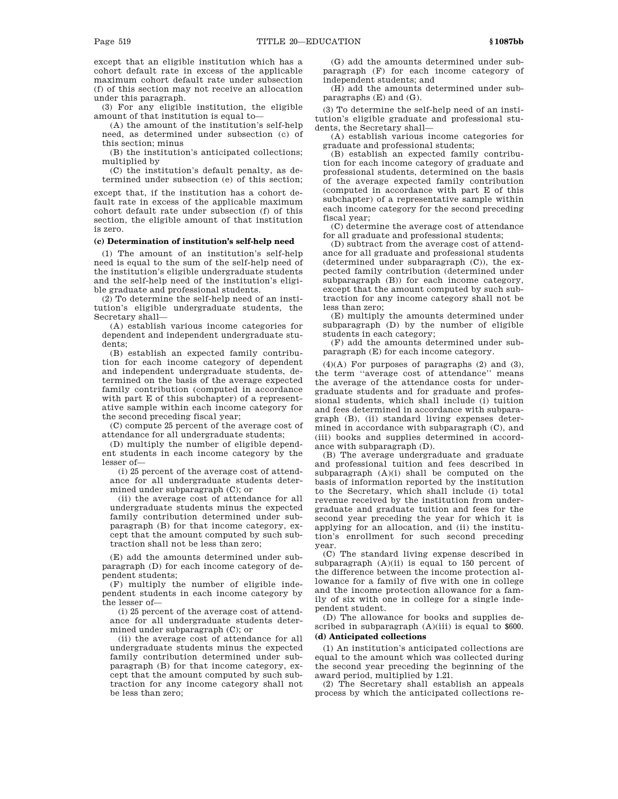except that an eligible institution which has a cohort default rate in excess of the applicable maximum cohort default rate under subsection (f) of this section may not receive an allocation under this paragraph.

(3) For any eligible institution, the eligible amount of that institution is equal to—

(A) the amount of the institution's self-help need, as determined under subsection (c) of this section; minus

(B) the institution's anticipated collections; multiplied by

(C) the institution's default penalty, as determined under subsection (e) of this section;

except that, if the institution has a cohort default rate in excess of the applicable maximum cohort default rate under subsection (f) of this section, the eligible amount of that institution is zero.

## **(c) Determination of institution's self-help need**

(1) The amount of an institution's self-help need is equal to the sum of the self-help need of the institution's eligible undergraduate students and the self-help need of the institution's eligible graduate and professional students.

(2) To determine the self-help need of an institution's eligible undergraduate students, the Secretary shall—

(A) establish various income categories for dependent and independent undergraduate students;

(B) establish an expected family contribution for each income category of dependent and independent undergraduate students, determined on the basis of the average expected family contribution (computed in accordance with part E of this subchapter) of a representative sample within each income category for the second preceding fiscal year;

(C) compute 25 percent of the average cost of attendance for all undergraduate students;

(D) multiply the number of eligible dependent students in each income category by the lesser of—

(i) 25 percent of the average cost of attendance for all undergraduate students determined under subparagraph (C); or

(ii) the average cost of attendance for all undergraduate students minus the expected family contribution determined under subparagraph (B) for that income category, except that the amount computed by such subtraction shall not be less than zero;

(E) add the amounts determined under subparagraph (D) for each income category of dependent students;

(F) multiply the number of eligible independent students in each income category by the lesser of—

(i) 25 percent of the average cost of attendance for all undergraduate students determined under subparagraph (C); or

(ii) the average cost of attendance for all undergraduate students minus the expected family contribution determined under subparagraph (B) for that income category, except that the amount computed by such subtraction for any income category shall not be less than zero;

(G) add the amounts determined under subparagraph (F) for each income category of independent students; and

(H) add the amounts determined under subparagraphs (E) and (G).

(3) To determine the self-help need of an institution's eligible graduate and professional students, the Secretary shall—

(A) establish various income categories for graduate and professional students;

(B) establish an expected family contribution for each income category of graduate and professional students, determined on the basis of the average expected family contribution (computed in accordance with part E of this subchapter) of a representative sample within each income category for the second preceding fiscal year;

(C) determine the average cost of attendance for all graduate and professional students;

(D) subtract from the average cost of attendance for all graduate and professional students (determined under subparagraph (C)), the expected family contribution (determined under subparagraph (B)) for each income category, except that the amount computed by such subtraction for any income category shall not be less than zero;

(E) multiply the amounts determined under subparagraph (D) by the number of eligible students in each category;

(F) add the amounts determined under subparagraph (E) for each income category.

 $(4)(A)$  For purposes of paragraphs  $(2)$  and  $(3)$ , the term ''average cost of attendance'' means the average of the attendance costs for undergraduate students and for graduate and professional students, which shall include (i) tuition and fees determined in accordance with subparagraph (B), (ii) standard living expenses determined in accordance with subparagraph (C), and (iii) books and supplies determined in accordance with subparagraph (D).

(B) The average undergraduate and graduate and professional tuition and fees described in subparagraph  $(A)(i)$  shall be computed on the basis of information reported by the institution to the Secretary, which shall include (i) total revenue received by the institution from undergraduate and graduate tuition and fees for the second year preceding the year for which it is applying for an allocation, and (ii) the institution's enrollment for such second preceding year.

(C) The standard living expense described in subparagraph  $(A)(ii)$  is equal to 150 percent of the difference between the income protection allowance for a family of five with one in college and the income protection allowance for a family of six with one in college for a single independent student.

(D) The allowance for books and supplies described in subparagraph (A)(iii) is equal to \$600. **(d) Anticipated collections**

(1) An institution's anticipated collections are equal to the amount which was collected during the second year preceding the beginning of the award period, multiplied by 1.21.

(2) The Secretary shall establish an appeals process by which the anticipated collections re-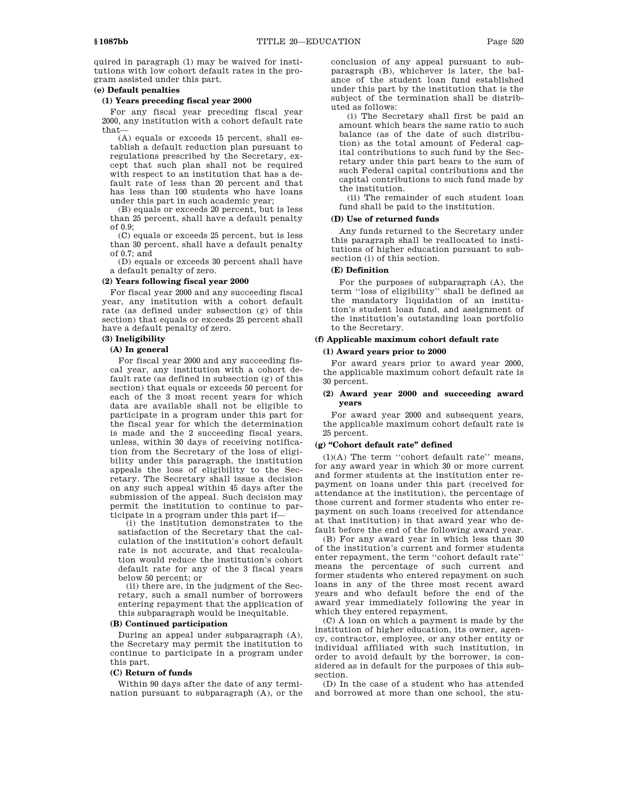# **(e) Default penalties**

# **(1) Years preceding fiscal year 2000**

For any fiscal year preceding fiscal year 2000, any institution with a cohort default rate that—

(A) equals or exceeds 15 percent, shall establish a default reduction plan pursuant to regulations prescribed by the Secretary, except that such plan shall not be required with respect to an institution that has a default rate of less than 20 percent and that has less than 100 students who have loans under this part in such academic year;

(B) equals or exceeds 20 percent, but is less than 25 percent, shall have a default penalty of 0.9;

(C) equals or exceeds 25 percent, but is less than 30 percent, shall have a default penalty of 0.7; and

(D) equals or exceeds 30 percent shall have a default penalty of zero.

## **(2) Years following fiscal year 2000**

For fiscal year 2000 and any succeeding fiscal year, any institution with a cohort default rate (as defined under subsection (g) of this section) that equals or exceeds 25 percent shall have a default penalty of zero.

# **(3) Ineligibility**

# **(A) In general**

For fiscal year 2000 and any succeeding fiscal year, any institution with a cohort default rate (as defined in subsection (g) of this section) that equals or exceeds 50 percent for each of the 3 most recent years for which data are available shall not be eligible to participate in a program under this part for the fiscal year for which the determination is made and the 2 succeeding fiscal years, unless, within 30 days of receiving notification from the Secretary of the loss of eligibility under this paragraph, the institution appeals the loss of eligibility to the Secretary. The Secretary shall issue a decision on any such appeal within 45 days after the submission of the appeal. Such decision may permit the institution to continue to participate in a program under this part if—

(i) the institution demonstrates to the satisfaction of the Secretary that the calculation of the institution's cohort default rate is not accurate, and that recalculation would reduce the institution's cohort default rate for any of the 3 fiscal years below 50 percent; or

(ii) there are, in the judgment of the Secretary, such a small number of borrowers entering repayment that the application of this subparagraph would be inequitable.

#### **(B) Continued participation**

During an appeal under subparagraph (A), the Secretary may permit the institution to continue to participate in a program under this part.

#### **(C) Return of funds**

Within 90 days after the date of any termination pursuant to subparagraph (A), or the conclusion of any appeal pursuant to subparagraph (B), whichever is later, the balance of the student loan fund established under this part by the institution that is the subject of the termination shall be distributed as follows:

(i) The Secretary shall first be paid an amount which bears the same ratio to such balance (as of the date of such distribution) as the total amount of Federal capital contributions to such fund by the Secretary under this part bears to the sum of such Federal capital contributions and the capital contributions to such fund made by the institution.

(ii) The remainder of such student loan fund shall be paid to the institution.

### **(D) Use of returned funds**

Any funds returned to the Secretary under this paragraph shall be reallocated to institutions of higher education pursuant to subsection (i) of this section.

# **(E) Definition**

For the purposes of subparagraph (A), the term ''loss of eligibility'' shall be defined as the mandatory liquidation of an institution's student loan fund, and assignment of the institution's outstanding loan portfolio to the Secretary.

# **(f) Applicable maximum cohort default rate (1) Award years prior to 2000**

For award years prior to award year 2000, the applicable maximum cohort default rate is 30 percent.

# **(2) Award year 2000 and succeeding award years**

For award year 2000 and subsequent years, the applicable maximum cohort default rate is 25 percent.

# **(g) ''Cohort default rate'' defined**

(1)(A) The term ''cohort default rate'' means, for any award year in which 30 or more current and former students at the institution enter repayment on loans under this part (received for attendance at the institution), the percentage of those current and former students who enter repayment on such loans (received for attendance at that institution) in that award year who default before the end of the following award year.

(B) For any award year in which less than 30 of the institution's current and former students enter repayment, the term ''cohort default rate'' means the percentage of such current and former students who entered repayment on such loans in any of the three most recent award years and who default before the end of the award year immediately following the year in which they entered repayment.

(C) A loan on which a payment is made by the institution of higher education, its owner, agency, contractor, employee, or any other entity or individual affiliated with such institution, in order to avoid default by the borrower, is considered as in default for the purposes of this subsection.

(D) In the case of a student who has attended and borrowed at more than one school, the stu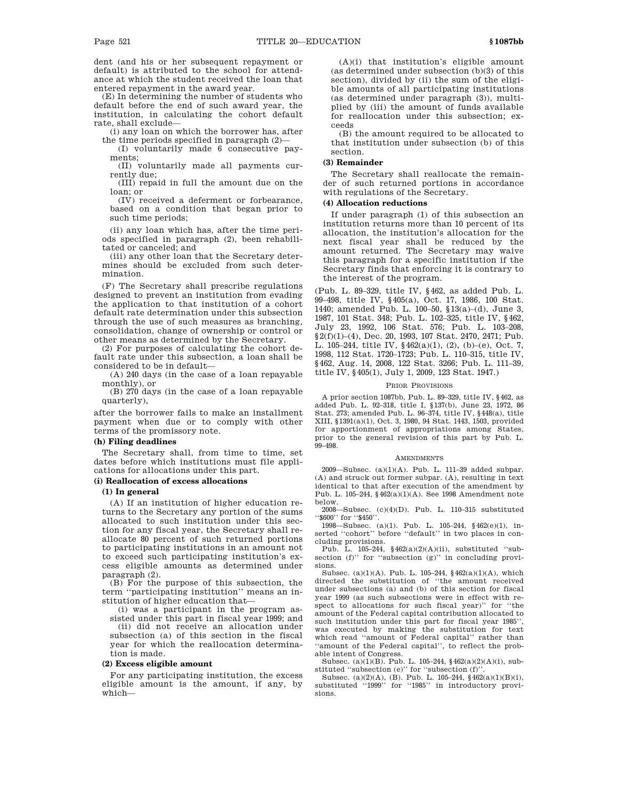dent (and his or her subsequent repayment or default) is attributed to the school for attendance at which the student received the loan that entered repayment in the award year.

(E) In determining the number of students who default before the end of such award year, the institution, in calculating the cohort default rate, shall exclude—

(i) any loan on which the borrower has, after the time periods specified in paragraph (2)—

(I) voluntarily made 6 consecutive payments;

(II) voluntarily made all payments currently due;

(III) repaid in full the amount due on the loan; or

(IV) received a deferment or forbearance, based on a condition that began prior to such time periods;

(ii) any loan which has, after the time periods specified in paragraph (2), been rehabilitated or canceled; and

(iii) any other loan that the Secretary determines should be excluded from such determination.

(F) The Secretary shall prescribe regulations designed to prevent an institution from evading the application to that institution of a cohort default rate determination under this subsection through the use of such measures as branching, consolidation, change of ownership or control or other means as determined by the Secretary.

(2) For purposes of calculating the cohort default rate under this subsection, a loan shall be considered to be in default—

(A) 240 days (in the case of a loan repayable monthly), or

(B) 270 days (in the case of a loan repayable quarterly),

after the borrower fails to make an installment payment when due or to comply with other terms of the promissory note.

#### **(h) Filing deadlines**

The Secretary shall, from time to time, set dates before which institutions must file applications for allocations under this part.

# **(i) Reallocation of excess allocations**

## **(1) In general**

(A) If an institution of higher education returns to the Secretary any portion of the sums allocated to such institution under this section for any fiscal year, the Secretary shall reallocate 80 percent of such returned portions to participating institutions in an amount not to exceed such participating institution's excess eligible amounts as determined under paragraph (2).

(B) For the purpose of this subsection, the term ''participating institution'' means an institution of higher education that—

(i) was a participant in the program assisted under this part in fiscal year 1999; and (ii) did not receive an allocation under

subsection (a) of this section in the fiscal year for which the reallocation determination is made.

# **(2) Excess eligible amount**

For any participating institution, the excess eligible amount is the amount, if any, by which—

(A)(i) that institution's eligible amount (as determined under subsection (b)(3) of this section), divided by (ii) the sum of the eligible amounts of all participating institutions (as determined under paragraph (3)), multiplied by (iii) the amount of funds available for reallocation under this subsection; exceeds

(B) the amount required to be allocated to that institution under subsection (b) of this section.

# **(3) Remainder**

The Secretary shall reallocate the remainder of such returned portions in accordance with regulations of the Secretary.

# **(4) Allocation reductions**

If under paragraph (1) of this subsection an institution returns more than 10 percent of its allocation, the institution's allocation for the next fiscal year shall be reduced by the amount returned. The Secretary may waive this paragraph for a specific institution if the Secretary finds that enforcing it is contrary to the interest of the program.

(Pub. L. 89–329, title IV, §462, as added Pub. L. 99–498, title IV, §405(a), Oct. 17, 1986, 100 Stat. 1440; amended Pub. L. 100–50, §13(a)–(d), June 3, 1987, 101 Stat. 348; Pub. L. 102–325, title IV, §462, July 23, 1992, 106 Stat. 576; Pub. L. 103–208, §2(f)(1)–(4), Dec. 20, 1993, 107 Stat. 2470, 2471; Pub. L. 105–244, title IV, §462(a)(1), (2), (b)–(e), Oct. 7, 1998, 112 Stat. 1720–1723; Pub. L. 110–315, title IV, §462, Aug. 14, 2008, 122 Stat. 3266; Pub. L. 111–39, title IV, §405(1), July 1, 2009, 123 Stat. 1947.)

#### PRIOR PROVISIONS

A prior section 1087bb, Pub. L. 89–329, title IV, §462, as added Pub. L. 92–318, title I, §137(b), June 23, 1972, 86 Stat. 273; amended Pub. L. 96–374, title IV, §448(a), title XIII, §1391(a)(1), Oct. 3, 1980, 94 Stat. 1443, 1503, provided for apportionment of appropriations among States, prior to the general revision of this part by Pub. L. 99–498.

#### AMENDMENTS

2009—Subsec. (a)(1)(A). Pub. L. 111–39 added subpar. (A) and struck out former subpar. (A), resulting in text identical to that after execution of the amendment by Pub. L. 105–244, §462(a)(1)(A). See 1998 Amendment note below.

2008—Subsec. (c)(4)(D). Pub. L. 110–315 substituted ''\$600'' for ''\$450''.

1998—Subsec. (a)(1). Pub. L. 105–244, §462(e)(1), inserted "cohort" before "default" in two places in concluding provisions.

Pub. L. 105–244, §462(a)(2)(A)(ii), substituted "subsection (f)" for "subsection  $(g)$ " in concluding provisions.

Subsec. (a)(1)(A). Pub. L. 105–244, §462(a)(1)(A), which directed the substitution of ''the amount received under subsections (a) and (b) of this section for fiscal year 1999 (as such subsections were in effect with respect to allocations for such fiscal year)" for "the amount of the Federal capital contribution allocated to such institution under this part for fiscal year 1985'', was executed by making the substitution for text which read ''amount of Federal capital'' rather than ''amount of the Federal capital'', to reflect the probable intent of Congress.

Subsec. (a)(1)(B). Pub. L. 105–244, §462(a)(2)(A)(i), substituted ''subsection (e)'' for ''subsection (f)''.

Subsec. (a)(2)(A), (B). Pub. L. 105–244, §462(a)(1)(B)(i), substituted ''1999'' for ''1985'' in introductory provisions.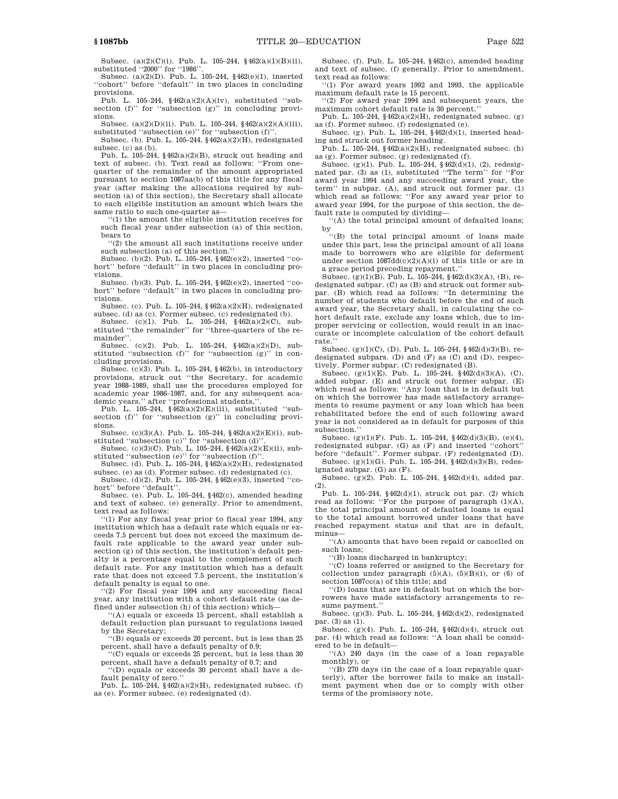Subsec. (a)(2)(C)(i). Pub. L. 105–244, §462(a)(1)(B)(ii), substituted ''2000'' for ''1986''.

Subsec. (a)(2)(D). Pub. L. 105–244, §462(e)(1), inserted ''cohort'' before ''default'' in two places in concluding provisions.

Pub. L. 105–244, §462(a)(2)(A)(iv), substituted ''subsection (f)" for "subsection (g)" in concluding provisions.

Subsec. (a)(2)(D)(ii). Pub. L. 105–244, §462(a)(2)(A)(iii), substituted ''subsection (e)'' for ''subsection (f)''.

Subsec. (b). Pub. L. 105–244,  $§$ 462(a)(2)(H), redesignated subsec. (c) as (b).

Pub. L. 105–244,  $§462(a)(2)(B)$ , struck out heading and text of subsec. (b). Text read as follows: ''From onequarter of the remainder of the amount appropriated pursuant to section 1087aa(b) of this title for any fiscal year (after making the allocations required by subsection (a) of this section), the Secretary shall allocate to each eligible institution an amount which bears the same ratio to such one-quarter as—

''(1) the amount the eligible institution receives for such fiscal year under subsection (a) of this section, bears to

''(2) the amount all such institutions receive under such subsection (a) of this section.

Subsec. (b)(2). Pub. L. 105–244,  $$462(e)(2)$ , inserted "cohort'' before "default" in two places in concluding provisions.

Subsec. (b)(3). Pub. L. 105–244, §462(e)(2), inserted ''cohort'' before ''default'' in two places in concluding provisions.

Subsec. (c). Pub. L. 105–244, §462(a)(2)(H), redesignated subsec. (d) as (c). Former subsec. (c) redesignated (b).

Subsec. (c)(1). Pub. L. 105–244, §462(a)(2)(C), substituted ''the remainder'' for ''three-quarters of the remainder''.

Subsec. (c)(2). Pub. L. 105–244, §462(a)(2)(D), substituted ''subsection (f)'' for ''subsection (g)'' in concluding provisions.

Subsec. (c)(3). Pub. L. 105–244, §462(b), in introductory provisions, struck out ''the Secretary, for academic year 1988–1989, shall use the procedures employed for academic year 1986–1987, and, for any subsequent academic years,'' after ''professional students,''.

Pub. L. 105–244, §462(a)(2)(E)(iii), substituted ''subsection (f)'' for ''subsection (g)'' in concluding provisions.

Subsec. (c)(3)(A). Pub. L. 105–244, §462(a)(2)(E)(i), substituted ''subsection (c)'' for ''subsection (d)''.

Subsec. (c)(3)(C). Pub. L. 105–244, §462(a)(2)(E)(ii), substituted ''subsection (e)'' for ''subsection (f)''.

Subsec. (d). Pub. L. 105–244, §462(a)(2)(H), redesignated subsec. (e) as (d). Former subsec. (d) redesignated (c).

Subsec. (d)(2). Pub. L. 105–244, §462(e)(3), inserted ''cohort'' before ''default''.

Subsec. (e). Pub. L. 105–244, §462(c), amended heading and text of subsec. (e) generally. Prior to amendment, text read as follows:

''(1) For any fiscal year prior to fiscal year 1994, any institution which has a default rate which equals or exceeds 7.5 percent but does not exceed the maximum default rate applicable to the award year under subsection (g) of this section, the institution's default penalty is a percentage equal to the complement of such default rate. For any institution which has a default rate that does not exceed 7.5 percent, the institution's default penalty is equal to one.

''(2) For fiscal year 1994 and any succeeding fiscal year, any institution with a cohort default rate (as defined under subsection (h) of this section) which—

''(A) equals or exceeds 15 percent, shall establish a default reduction plan pursuant to regulations issued

by the Secretary; ''(B) equals or exceeds 20 percent, but is less than 25 percent, shall have a default penalty of 0.9;

''(C) equals or exceeds 25 percent, but is less than 30 percent, shall have a default penalty of 0.7; and

''(D) equals or exceeds 30 percent shall have a de-

fault penalty of zero.'' Pub. L. 105–244, §462(a)(2)(H), redesignated subsec. (f) as (e). Former subsec. (e) redesignated (d).

Subsec. (f). Pub. L. 105–244, §462(c), amended heading and text of subsec. (f) generally. Prior to amendment, text read as follows:

''(1) For award years 1992 and 1993, the applicable maximum default rate is 15 percent.

''(2) For award year 1994 and subsequent years, the maximum cohort default rate is 30 percent.

Pub. L. 105–244, §462(a)(2)(H), redesignated subsec. (g) as (f). Former subsec. (f) redesignated (e).

Subsec. (g). Pub. L. 105–244, §462(d)(1), inserted heading and struck out former heading.

Pub. L. 105–244,  $§462(a)(2)(H)$ , redesignated subsec. (h) as (g). Former subsec. (g) redesignated (f).

Subsec. (g)(1). Pub. L. 105–244, §462(d)(1), (2), redesignated par. (3) as (1), substituted ''The term'' for ''For award year 1994 and any succeeding award year, the term'' in subpar. (A), and struck out former par. (1) which read as follows: ''For any award year prior to award year 1994, for the purpose of this section, the default rate is computed by dividing—

''(A) the total principal amount of defaulted loans; by

''(B) the total principal amount of loans made under this part, less the principal amount of all loans made to borrowers who are eligible for deferment under section  $1087d(d(c)(2)(A)(i)$  of this title or are in a grace period preceding repayment.''

Subsec. (g)(1)(B). Pub. L. 105–244, §462(d)(3)(A), (B), redesignated subpar. (C) as (B) and struck out former subpar. (B) which read as follows: ''In determining the number of students who default before the end of such award year, the Secretary shall, in calculating the cohort default rate, exclude any loans which, due to improper servicing or collection, would result in an inaccurate or incomplete calculation of the cohort default rate.''

Subsec. (g)(1)(C), (D). Pub. L. 105–244, §462(d)(3)(B), redesignated subpars. (D) and  $(F)$  as  $(C)$  and  $(D)$ , respectively. Former subpar. (C) redesignated (B).

Subsec. (g)(1)(E). Pub. L. 105–244, §462(d)(3)(A), (C), added subpar. (E) and struck out former subpar. (E) which read as follows: ''Any loan that is in default but on which the borrower has made satisfactory arrangements to resume payment or any loan which has been rehabilitated before the end of such following award year is not considered as in default for purposes of this subsection.

Subsec. (g)(1)(F). Pub. L. 105–244, §462(d)(3)(B), (e)(4), redesignated subpar. (G) as (F) and inserted ''cohort''

before ''default''. Former subpar. (F) redesignated (D). Subsec. (g)(1)(G). Pub. L. 105–244, §462(d)(3)(B), redesignated subpar. (G) as (F).

Subsec. (g)(2). Pub. L. 105–244, §462(d)(4), added par.  $(2)$ 

Pub. L. 105–244, §462(d)(1), struck out par. (2) which read as follows: ''For the purpose of paragraph (1)(A), the total principal amount of defaulted loans is equal to the total amount borrowed under loans that have reached repayment status and that are in default, minus—

''(A) amounts that have been repaid or cancelled on such loans;

''(B) loans discharged in bankruptcy;

''(C) loans referred or assigned to the Secretary for collection under paragraph  $(5)(A)$ ,  $(5)(B)(i)$ , or  $(6)$  of section 1087cc(a) of this title; and

''(D) loans that are in default but on which the borrowers have made satisfactory arrangements to resume payment.''

Subsec.  $(g)(3)$ . Pub. L. 105–244, §462(d)(2), redesignated par. (3) as (1).

Subsec. (g)(4). Pub. L. 105–244, §462(d)(4), struck out par. (4) which read as follows: "A loan shall be considered to be in default—

''(A) 240 days (in the case of a loan repayable monthly), or

''(B) 270 days (in the case of a loan repayable quarterly), after the borrower fails to make an installment payment when due or to comply with other terms of the promissory note,